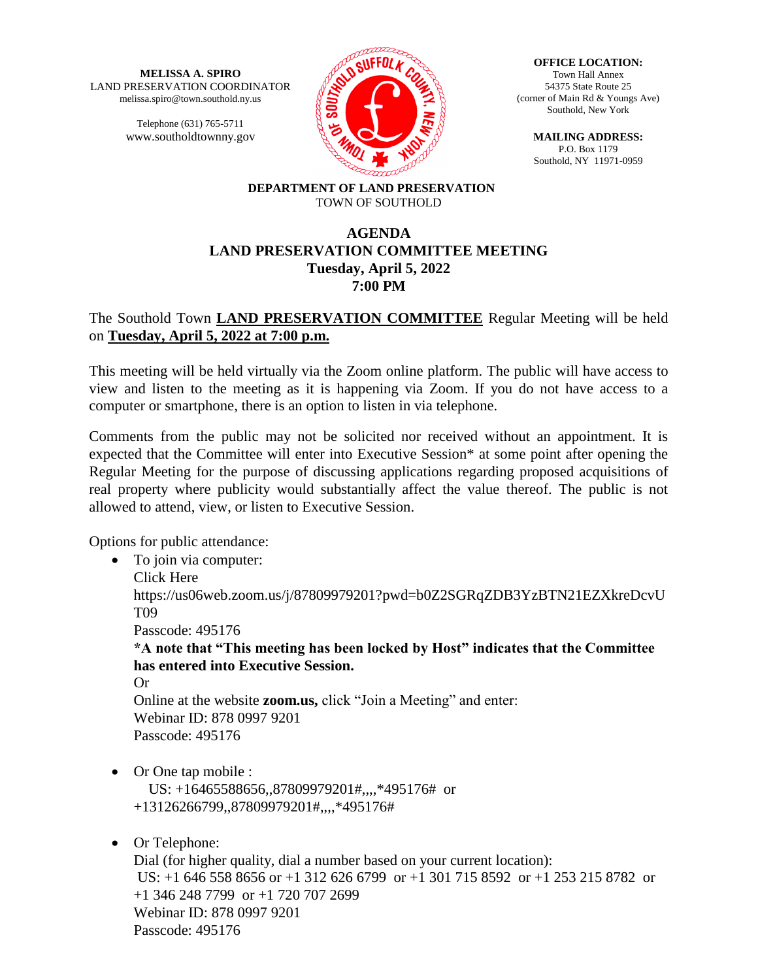**MELISSA A. SPIRO** LAND PRESERVATION COORDINATOR melissa.spiro@town.southold.ny.us

> Telephone (631) 765-5711 www.southoldtownny.gov



**OFFICE LOCATION:** Town Hall Annex 54375 State Route 25 (corner of Main Rd & Youngs Ave) Southold, New York

> **MAILING ADDRESS:** P.O. Box 1179 Southold, NY 11971-0959

#### **DEPARTMENT OF LAND PRESERVATION** TOWN OF SOUTHOLD

# **AGENDA LAND PRESERVATION COMMITTEE MEETING Tuesday, April 5, 2022 7:00 PM**

# The Southold Town **LAND PRESERVATION COMMITTEE** Regular Meeting will be held on **Tuesday, April 5, 2022 at 7:00 p.m.**

This meeting will be held virtually via the Zoom online platform. The public will have access to view and listen to the meeting as it is happening via Zoom. If you do not have access to a computer or smartphone, there is an option to listen in via telephone.

Comments from the public may not be solicited nor received without an appointment. It is expected that the Committee will enter into Executive Session\* at some point after opening the Regular Meeting for the purpose of discussing applications regarding proposed acquisitions of real property where publicity would substantially affect the value thereof. The public is not allowed to attend, view, or listen to Executive Session.

Options for public attendance:

• To join via computer: Click Here https://us06web.zoom.us/j/87809979201?pwd=b0Z2SGRqZDB3YzBTN21EZXkreDcvU T09 Passcode: 495176 **\*A note that "This meeting has been locked by Host" indicates that the Committee has entered into Executive Session.** Or Online at the website **zoom.us,** click "Join a Meeting" and enter: Webinar ID: 878 0997 9201 Passcode: 495176 • Or One tap mobile :

 US: +16465588656,,87809979201#,,,,\*495176# or +13126266799,,87809979201#,,,,\*495176#

• Or Telephone:

Dial (for higher quality, dial a number based on your current location): US: +1 646 558 8656 or +1 312 626 6799 or +1 301 715 8592 or +1 253 215 8782 or +1 346 248 7799 or +1 720 707 2699 Webinar ID: 878 0997 9201 Passcode: 495176